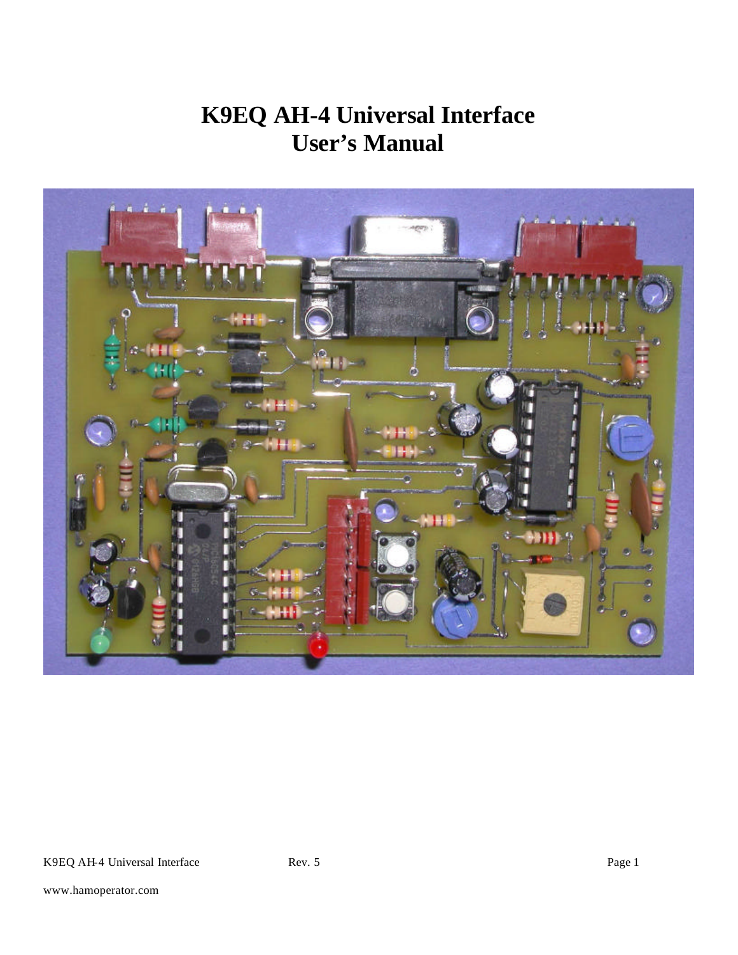# **K9EQ AH-4 Universal Interface User's Manual**

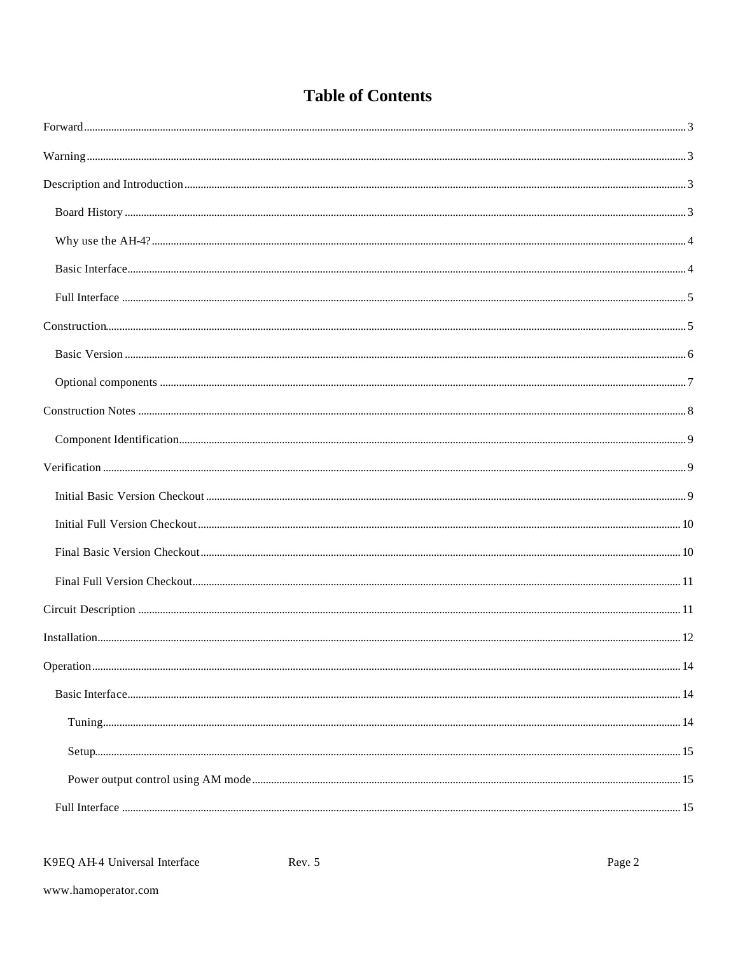# **Table of Contents**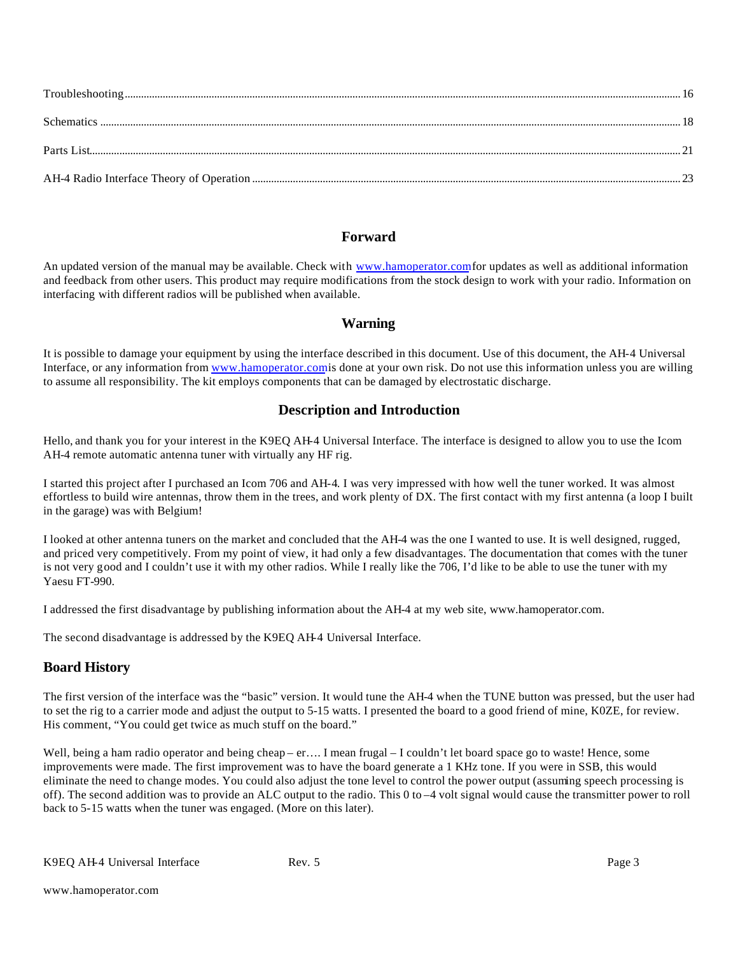#### **Forward**

An updated version of the manual may be available. Check with www.hamoperator.comfor updates as well as additional information and feedback from other users. This product may require modifications from the stock design to work with your radio. Information on interfacing with different radios will be published when available.

#### **Warning**

It is possible to damage your equipment by using the interface described in this document. Use of this document, the AH-4 Universal Interface, or any information from www.hamoperator.com is done at your own risk. Do not use this information unless you are willing to assume all responsibility. The kit employs components that can be damaged by electrostatic discharge.

#### **Description and Introduction**

Hello, and thank you for your interest in the K9EQ AH-4 Universal Interface. The interface is designed to allow you to use the Icom AH-4 remote automatic antenna tuner with virtually any HF rig.

I started this project after I purchased an Icom 706 and AH-4. I was very impressed with how well the tuner worked. It was almost effortless to build wire antennas, throw them in the trees, and work plenty of DX. The first contact with my first antenna (a loop I built in the garage) was with Belgium!

I looked at other antenna tuners on the market and concluded that the AH-4 was the one I wanted to use. It is well designed, rugged, and priced very competitively. From my point of view, it had only a few disadvantages. The documentation that comes with the tuner is not very good and I couldn't use it with my other radios. While I really like the 706, I'd like to be able to use the tuner with my Yaesu FT-990.

I addressed the first disadvantage by publishing information about the AH-4 at my web site, www.hamoperator.com.

The second disadvantage is addressed by the K9EQ AH-4 Universal Interface.

#### **Board History**

The first version of the interface was the "basic" version. It would tune the AH-4 when the TUNE button was pressed, but the user had to set the rig to a carrier mode and adjust the output to 5-15 watts. I presented the board to a good friend of mine, K0ZE, for review. His comment, "You could get twice as much stuff on the board."

Well, being a ham radio operator and being cheap – er…. I mean frugal – I couldn't let board space go to waste! Hence, some improvements were made. The first improvement was to have the board generate a 1 KHz tone. If you were in SSB, this would eliminate the need to change modes. You could also adjust the tone level to control the power output (assuming speech processing is off). The second addition was to provide an ALC output to the radio. This 0 to –4 volt signal would cause the transmitter power to roll back to 5-15 watts when the tuner was engaged. (More on this later).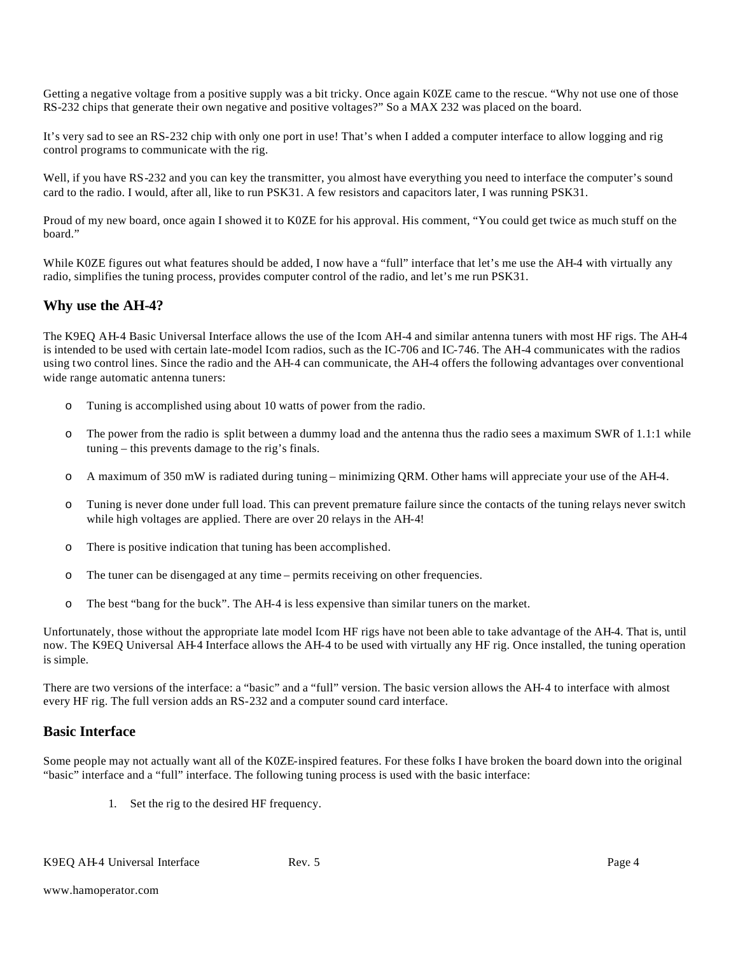Getting a negative voltage from a positive supply was a bit tricky. Once again K0ZE came to the rescue. "Why not use one of those RS-232 chips that generate their own negative and positive voltages?" So a MAX 232 was placed on the board.

It's very sad to see an RS-232 chip with only one port in use! That's when I added a computer interface to allow logging and rig control programs to communicate with the rig.

Well, if you have RS-232 and you can key the transmitter, you almost have everything you need to interface the computer's sound card to the radio. I would, after all, like to run PSK31. A few resistors and capacitors later, I was running PSK31.

Proud of my new board, once again I showed it to K0ZE for his approval. His comment, "You could get twice as much stuff on the board."

While K0ZE figures out what features should be added, I now have a "full" interface that let's me use the AH-4 with virtually any radio, simplifies the tuning process, provides computer control of the radio, and let's me run PSK31.

#### **Why use the AH-4?**

The K9EQ AH-4 Basic Universal Interface allows the use of the Icom AH-4 and similar antenna tuners with most HF rigs. The AH-4 is intended to be used with certain late-model Icom radios, such as the IC-706 and IC-746. The AH-4 communicates with the radios using two control lines. Since the radio and the AH-4 can communicate, the AH-4 offers the following advantages over conventional wide range automatic antenna tuners:

- o Tuning is accomplished using about 10 watts of power from the radio.
- o The power from the radio is split between a dummy load and the antenna thus the radio sees a maximum SWR of 1.1:1 while tuning – this prevents damage to the rig's finals.
- o A maximum of 350 mW is radiated during tuning minimizing QRM. Other hams will appreciate your use of the AH-4.
- o Tuning is never done under full load. This can prevent premature failure since the contacts of the tuning relays never switch while high voltages are applied. There are over 20 relays in the AH-4!
- o There is positive indication that tuning has been accomplished.
- o The tuner can be disengaged at any time permits receiving on other frequencies.
- o The best "bang for the buck". The AH-4 is less expensive than similar tuners on the market.

Unfortunately, those without the appropriate late model Icom HF rigs have not been able to take advantage of the AH-4. That is, until now. The K9EQ Universal AH-4 Interface allows the AH-4 to be used with virtually any HF rig. Once installed, the tuning operation is simple.

There are two versions of the interface: a "basic" and a "full" version. The basic version allows the AH-4 to interface with almost every HF rig. The full version adds an RS-232 and a computer sound card interface.

#### **Basic Interface**

Some people may not actually want all of the K0ZE-inspired features. For these folks I have broken the board down into the original "basic" interface and a "full" interface. The following tuning process is used with the basic interface:

1. Set the rig to the desired HF frequency.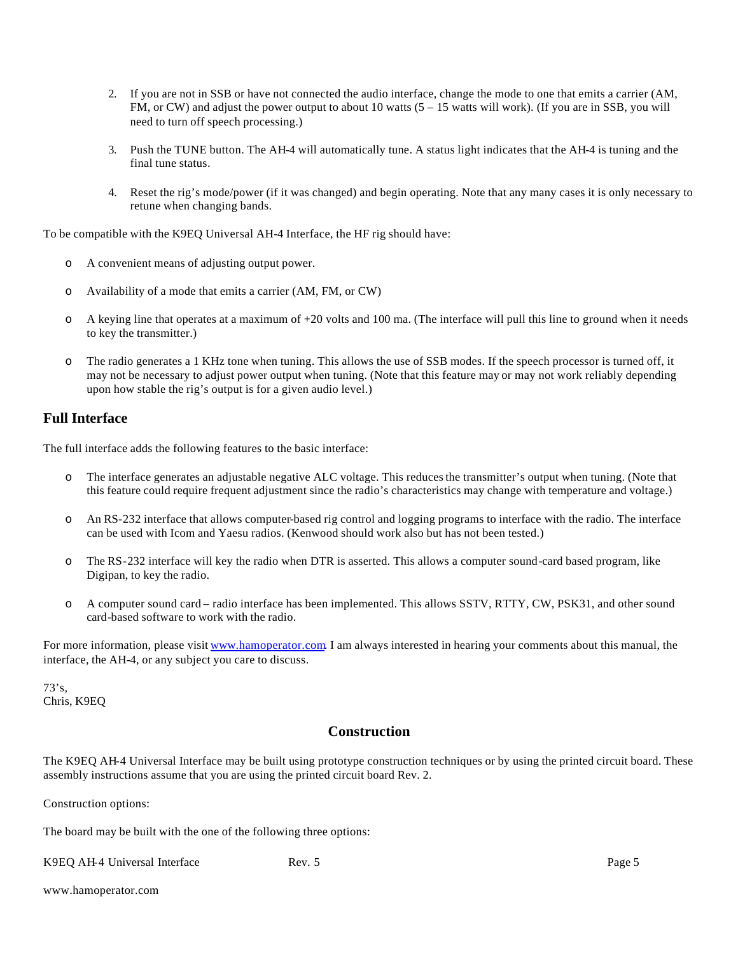- 2. If you are not in SSB or have not connected the audio interface, change the mode to one that emits a carrier (AM, FM, or CW) and adjust the power output to about 10 watts (5 – 15 watts will work). (If you are in SSB, you will need to turn off speech processing.)
- 3. Push the TUNE button. The AH-4 will automatically tune. A status light indicates that the AH-4 is tuning and the final tune status.
- 4. Reset the rig's mode/power (if it was changed) and begin operating. Note that any many cases it is only necessary to retune when changing bands.

To be compatible with the K9EQ Universal AH-4 Interface, the HF rig should have:

- o A convenient means of adjusting output power.
- o Availability of a mode that emits a carrier (AM, FM, or CW)
- $\circ$  A keying line that operates at a maximum of +20 volts and 100 ma. (The interface will pull this line to ground when it needs to key the transmitter.)
- o The radio generates a 1 KHz tone when tuning. This allows the use of SSB modes. If the speech processor is turned off, it may not be necessary to adjust power output when tuning. (Note that this feature may or may not work reliably depending upon how stable the rig's output is for a given audio level.)

#### **Full Interface**

The full interface adds the following features to the basic interface:

- o The interface generates an adjustable negative ALC voltage. This reduces the transmitter's output when tuning. (Note that this feature could require frequent adjustment since the radio's characteristics may change with temperature and voltage.)
- o An RS-232 interface that allows computer-based rig control and logging programs to interface with the radio. The interface can be used with Icom and Yaesu radios. (Kenwood should work also but has not been tested.)
- o The RS-232 interface will key the radio when DTR is asserted. This allows a computer sound-card based program, like Digipan, to key the radio.
- o A computer sound card radio interface has been implemented. This allows SSTV, RTTY, CW, PSK31, and other sound card-based software to work with the radio.

For more information, please visit www.hamoperator.com. I am always interested in hearing your comments about this manual, the interface, the AH-4, or any subject you care to discuss.

 $73's.$ Chris, K9EQ

#### **Construction**

The K9EQ AH-4 Universal Interface may be built using prototype construction techniques or by using the printed circuit board. These assembly instructions assume that you are using the printed circuit board Rev. 2.

Construction options:

The board may be built with the one of the following three options:

K9EQ AH-4 Universal Interface Rev. 5 Rev. 5 Page 5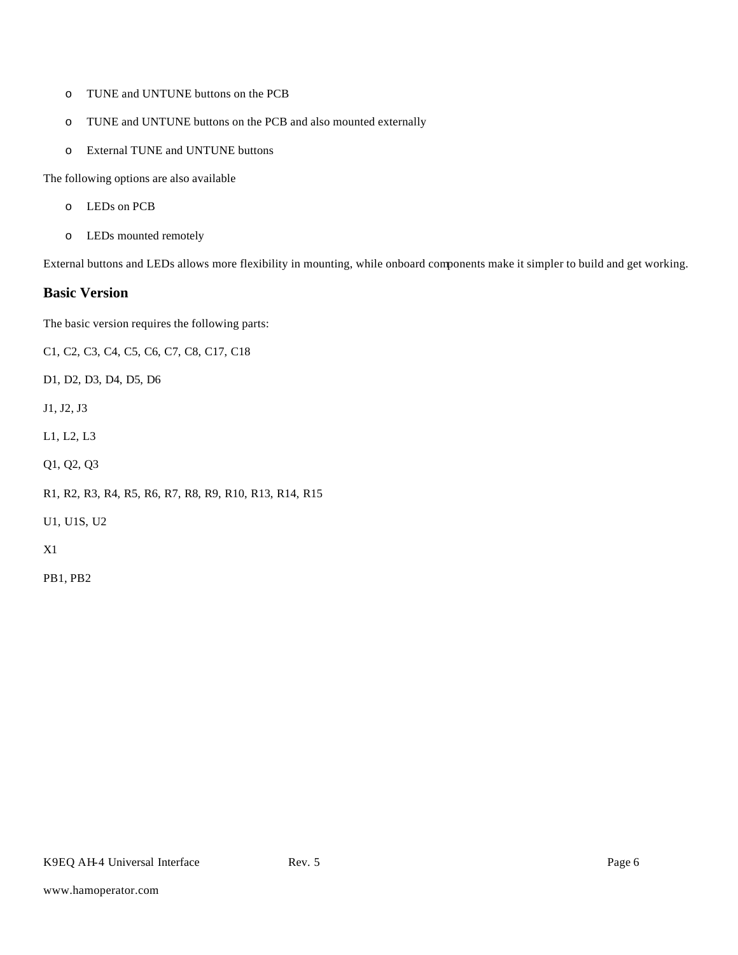- o TUNE and UNTUNE buttons on the PCB
- o TUNE and UNTUNE buttons on the PCB and also mounted externally
- o External TUNE and UNTUNE buttons

The following options are also available

- o LEDs on PCB
- o LEDs mounted remotely

External buttons and LEDs allows more flexibility in mounting, while onboard components make it simpler to build and get working.

#### **Basic Version**

The basic version requires the following parts:

C1, C2, C3, C4, C5, C6, C7, C8, C17, C18

D1, D2, D3, D4, D5, D6

J1, J2, J3

L1, L2, L3

Q1, Q2, Q3

R1, R2, R3, R4, R5, R6, R7, R8, R9, R10, R13, R14, R15

U1, U1S, U2

X1

PB1, PB2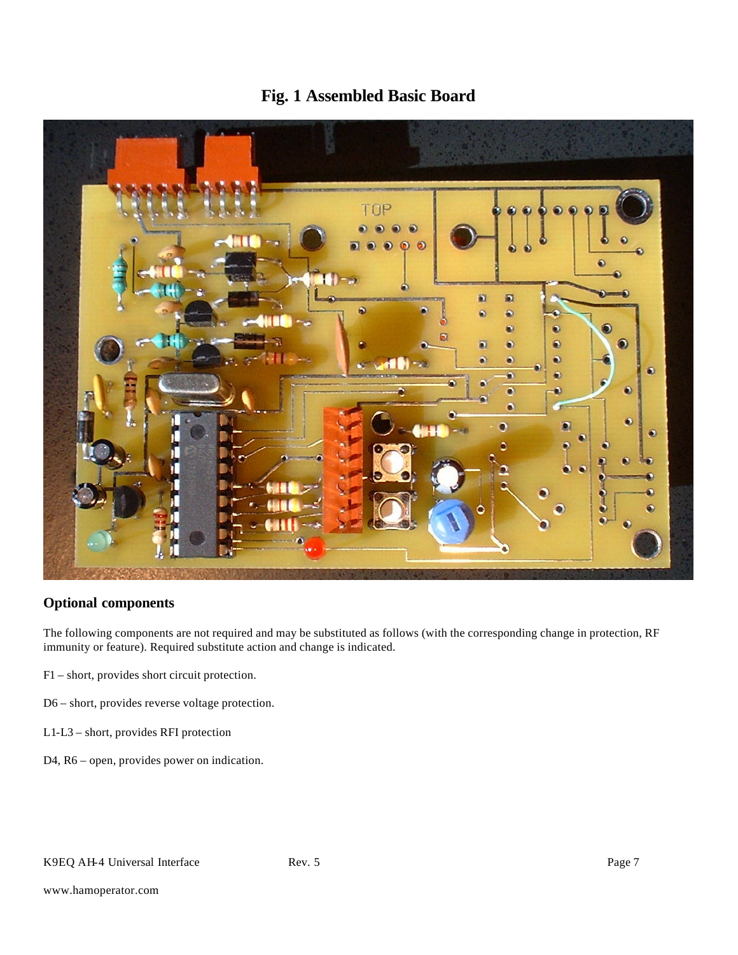

# **Fig. 1 Assembled Basic Board**

#### **Optional components**

The following components are not required and may be substituted as follows (with the corresponding change in protection, RF immunity or feature). Required substitute action and change is indicated.

- F1 short, provides short circuit protection.
- D6 short, provides reverse voltage protection.
- L1-L3 short, provides RFI protection
- D4, R6 open, provides power on indication.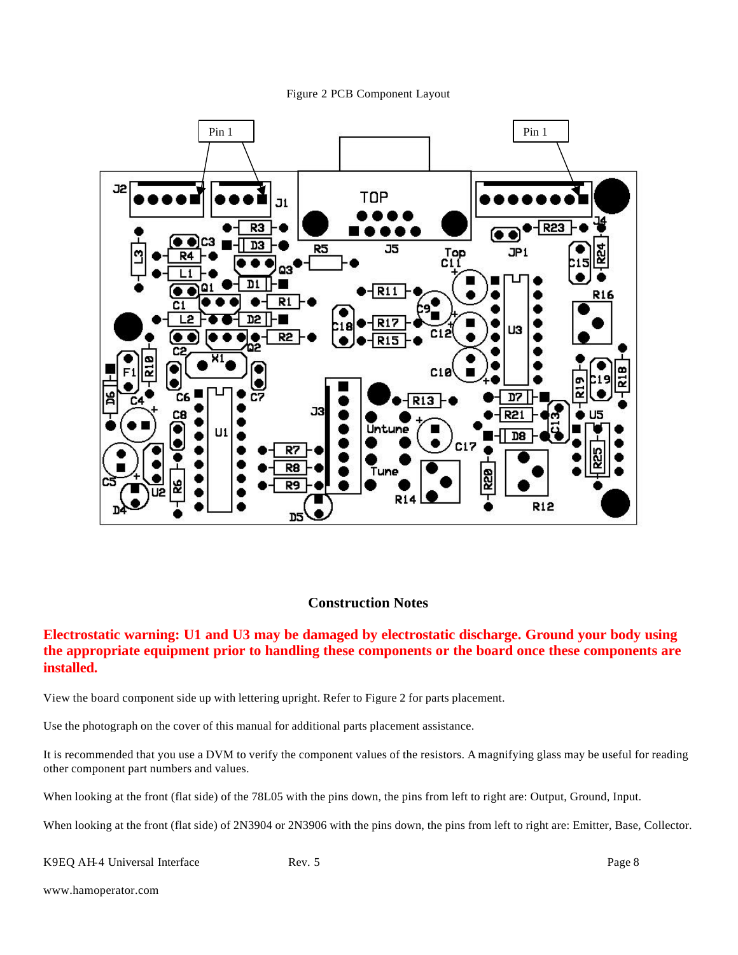



#### **Construction Notes**

#### **Electrostatic warning: U1 and U3 may be damaged by electrostatic discharge. Ground your body using the appropriate equipment prior to handling these components or the board once these components are installed.**

View the board component side up with lettering upright. Refer to Figure 2 for parts placement.

Use the photograph on the cover of this manual for additional parts placement assistance.

It is recommended that you use a DVM to verify the component values of the resistors. A magnifying glass may be useful for reading other component part numbers and values.

When looking at the front (flat side) of the 78L05 with the pins down, the pins from left to right are: Output, Ground, Input.

When looking at the front (flat side) of 2N3904 or 2N3906 with the pins down, the pins from left to right are: Emitter, Base, Collector.

K9EQ AH-4 Universal Interface Rev. 5 Rev. 5 Page 8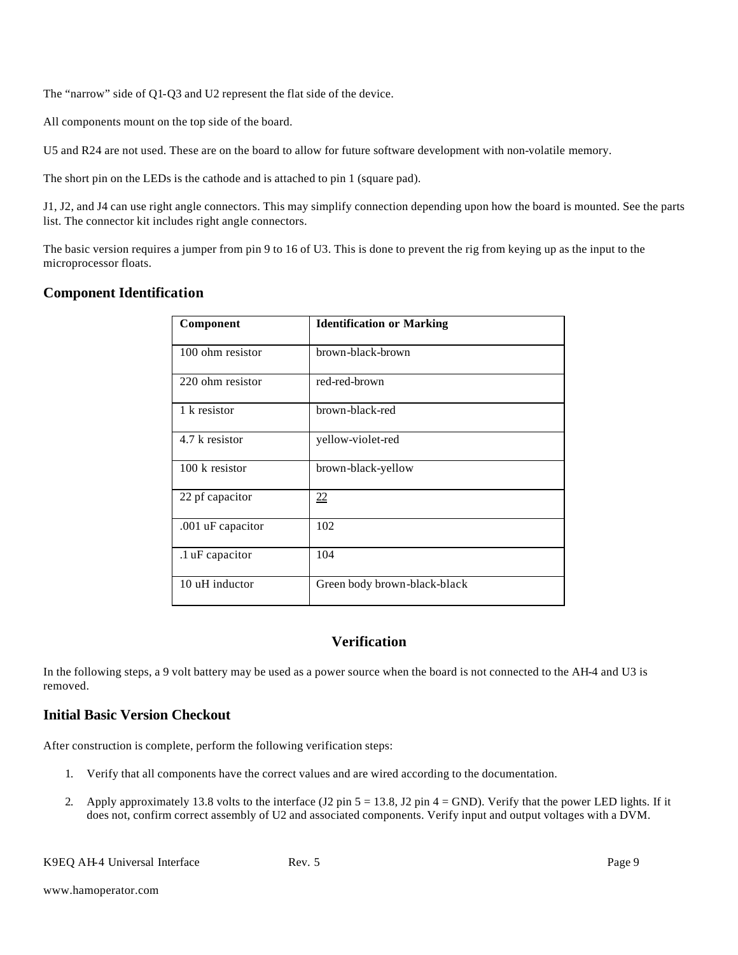The "narrow" side of Q1-Q3 and U2 represent the flat side of the device.

All components mount on the top side of the board.

U5 and R24 are not used. These are on the board to allow for future software development with non-volatile memory.

The short pin on the LEDs is the cathode and is attached to pin 1 (square pad).

J1, J2, and J4 can use right angle connectors. This may simplify connection depending upon how the board is mounted. See the parts list. The connector kit includes right angle connectors.

The basic version requires a jumper from pin 9 to 16 of U3. This is done to prevent the rig from keying up as the input to the microprocessor floats.

#### **Component Identification**

| Component                | <b>Identification or Marking</b> |
|--------------------------|----------------------------------|
| 100 ohm resistor         | brown-black-brown                |
| 220 ohm resistor         | red-red-brown                    |
| 1 k resistor             | brown-black-red                  |
| 4.7 k resistor           | yellow-violet-red                |
| $100 \text{ k resistor}$ | brown-black-yellow               |
| 22 pf capacitor          | 22                               |
| .001 uF capacitor        | 102                              |
| .1 uF capacitor          | 104                              |
| 10 uH inductor           | Green body brown-black-black     |

#### **Verification**

In the following steps, a 9 volt battery may be used as a power source when the board is not connected to the AH-4 and U3 is removed.

#### **Initial Basic Version Checkout**

After construction is complete, perform the following verification steps:

- 1. Verify that all components have the correct values and are wired according to the documentation.
- 2. Apply approximately 13.8 volts to the interface  $(J2 \text{ pin } 5 = 13.8, J2 \text{ pin } 4 = \text{GND})$ . Verify that the power LED lights. If it does not, confirm correct assembly of U2 and associated components. Verify input and output voltages with a DVM.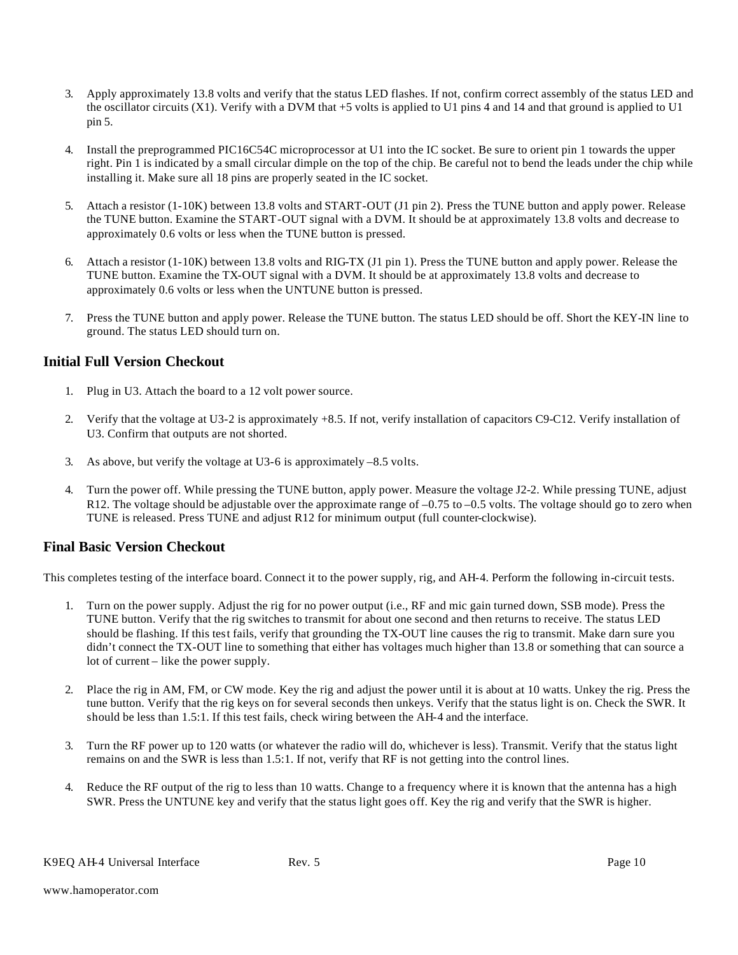- 3. Apply approximately 13.8 volts and verify that the status LED flashes. If not, confirm correct assembly of the status LED and the oscillator circuits  $(X1)$ . Verify with a DVM that  $+5$  volts is applied to U1 pins 4 and 14 and that ground is applied to U1 pin 5.
- 4. Install the preprogrammed PIC16C54C microprocessor at U1 into the IC socket. Be sure to orient pin 1 towards the upper right. Pin 1 is indicated by a small circular dimple on the top of the chip. Be careful not to bend the leads under the chip while installing it. Make sure all 18 pins are properly seated in the IC socket.
- 5. Attach a resistor (1-10K) between 13.8 volts and START-OUT (J1 pin 2). Press the TUNE button and apply power. Release the TUNE button. Examine the START-OUT signal with a DVM. It should be at approximately 13.8 volts and decrease to approximately 0.6 volts or less when the TUNE button is pressed.
- 6. Attach a resistor (1-10K) between 13.8 volts and RIG-TX (J1 pin 1). Press the TUNE button and apply power. Release the TUNE button. Examine the TX-OUT signal with a DVM. It should be at approximately 13.8 volts and decrease to approximately 0.6 volts or less when the UNTUNE button is pressed.
- 7. Press the TUNE button and apply power. Release the TUNE button. The status LED should be off. Short the KEY-IN line to ground. The status LED should turn on.

#### **Initial Full Version Checkout**

- 1. Plug in U3. Attach the board to a 12 volt power source.
- 2. Verify that the voltage at U3-2 is approximately +8.5. If not, verify installation of capacitors C9-C12. Verify installation of U3. Confirm that outputs are not shorted.
- 3. As above, but verify the voltage at U3-6 is approximately –8.5 volts.
- 4. Turn the power off. While pressing the TUNE button, apply power. Measure the voltage J2-2. While pressing TUNE, adjust R12. The voltage should be adjustable over the approximate range of  $-0.75$  to  $-0.5$  volts. The voltage should go to zero when TUNE is released. Press TUNE and adjust R12 for minimum output (full counter-clockwise).

#### **Final Basic Version Checkout**

This completes testing of the interface board. Connect it to the power supply, rig, and AH-4. Perform the following in-circuit tests.

- 1. Turn on the power supply. Adjust the rig for no power output (i.e., RF and mic gain turned down, SSB mode). Press the TUNE button. Verify that the rig switches to transmit for about one second and then returns to receive. The status LED should be flashing. If this test fails, verify that grounding the TX-OUT line causes the rig to transmit. Make darn sure you didn't connect the TX-OUT line to something that either has voltages much higher than 13.8 or something that can source a lot of current – like the power supply.
- 2. Place the rig in AM, FM, or CW mode. Key the rig and adjust the power until it is about at 10 watts. Unkey the rig. Press the tune button. Verify that the rig keys on for several seconds then unkeys. Verify that the status light is on. Check the SWR. It should be less than 1.5:1. If this test fails, check wiring between the AH-4 and the interface.
- 3. Turn the RF power up to 120 watts (or whatever the radio will do, whichever is less). Transmit. Verify that the status light remains on and the SWR is less than 1.5:1. If not, verify that RF is not getting into the control lines.
- 4. Reduce the RF output of the rig to less than 10 watts. Change to a frequency where it is known that the antenna has a high SWR. Press the UNTUNE key and verify that the status light goes off. Key the rig and verify that the SWR is higher.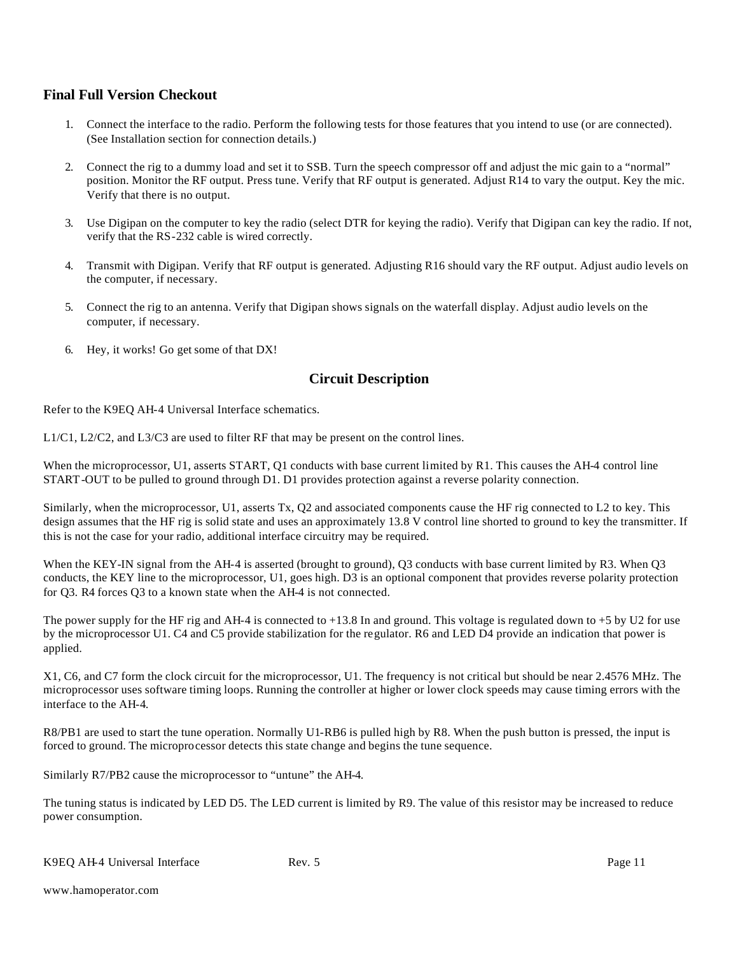#### **Final Full Version Checkout**

- 1. Connect the interface to the radio. Perform the following tests for those features that you intend to use (or are connected). (See Installation section for connection details.)
- 2. Connect the rig to a dummy load and set it to SSB. Turn the speech compressor off and adjust the mic gain to a "normal" position. Monitor the RF output. Press tune. Verify that RF output is generated. Adjust R14 to vary the output. Key the mic. Verify that there is no output.
- 3. Use Digipan on the computer to key the radio (select DTR for keying the radio). Verify that Digipan can key the radio. If not, verify that the RS-232 cable is wired correctly.
- 4. Transmit with Digipan. Verify that RF output is generated. Adjusting R16 should vary the RF output. Adjust audio levels on the computer, if necessary.
- 5. Connect the rig to an antenna. Verify that Digipan shows signals on the waterfall display. Adjust audio levels on the computer, if necessary.
- 6. Hey, it works! Go get some of that DX!

#### **Circuit Description**

Refer to the K9EQ AH-4 Universal Interface schematics.

L1/C1, L2/C2, and L3/C3 are used to filter RF that may be present on the control lines.

When the microprocessor, U1, asserts START, Q1 conducts with base current limited by R1. This causes the AH-4 control line START-OUT to be pulled to ground through D1. D1 provides protection against a reverse polarity connection.

Similarly, when the microprocessor, U1, asserts Tx, Q2 and associated components cause the HF rig connected to L2 to key. This design assumes that the HF rig is solid state and uses an approximately 13.8 V control line shorted to ground to key the transmitter. If this is not the case for your radio, additional interface circuitry may be required.

When the KEY-IN signal from the AH-4 is asserted (brought to ground), Q3 conducts with base current limited by R3. When Q3 conducts, the KEY line to the microprocessor, U1, goes high. D3 is an optional component that provides reverse polarity protection for Q3. R4 forces Q3 to a known state when the AH-4 is not connected.

The power supply for the HF rig and AH-4 is connected to  $+13.8$  In and ground. This voltage is regulated down to  $+5$  by U2 for use by the microprocessor U1. C4 and C5 provide stabilization for the regulator. R6 and LED D4 provide an indication that power is applied.

X1, C6, and C7 form the clock circuit for the microprocessor, U1. The frequency is not critical but should be near 2.4576 MHz. The microprocessor uses software timing loops. Running the controller at higher or lower clock speeds may cause timing errors with the interface to the AH-4.

R8/PB1 are used to start the tune operation. Normally U1-RB6 is pulled high by R8. When the push button is pressed, the input is forced to ground. The microprocessor detects this state change and begins the tune sequence.

Similarly R7/PB2 cause the microprocessor to "untune" the AH-4.

The tuning status is indicated by LED D5. The LED current is limited by R9. The value of this resistor may be increased to reduce power consumption.

K9EQ AH-4 Universal Interface Rev. 5 Page 11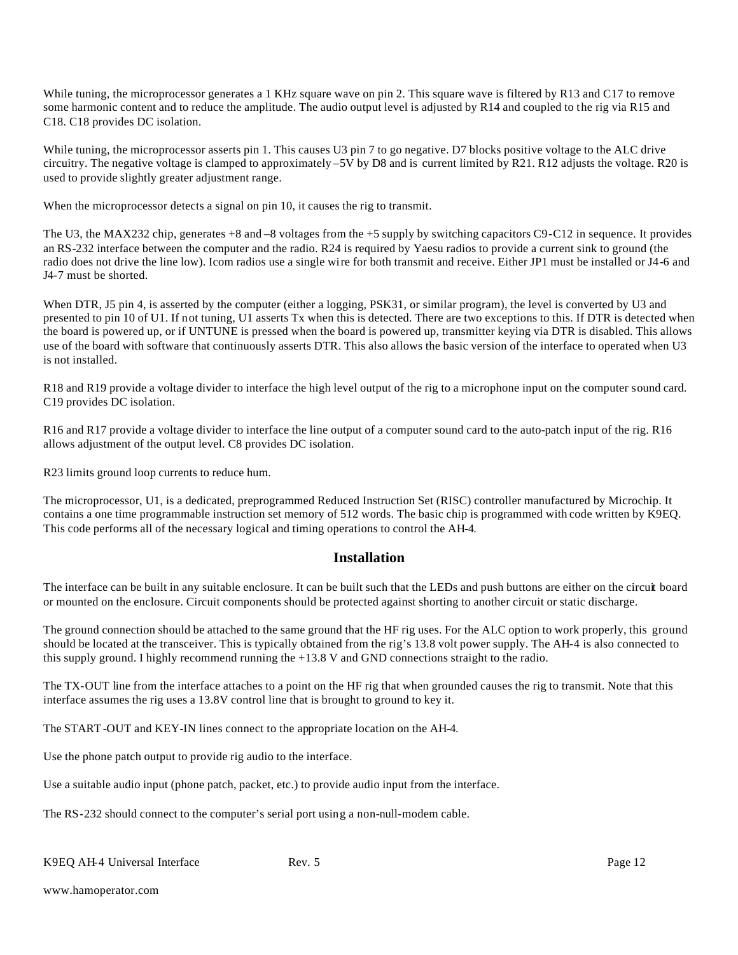While tuning, the microprocessor generates a 1 KHz square wave on pin 2. This square wave is filtered by R13 and C17 to remove some harmonic content and to reduce the amplitude. The audio output level is adjusted by R14 and coupled to the rig via R15 and C18. C18 provides DC isolation.

While tuning, the microprocessor asserts pin 1. This causes U3 pin 7 to go negative. D7 blocks positive voltage to the ALC drive circuitry. The negative voltage is clamped to approximately –5V by D8 and is current limited by R21. R12 adjusts the voltage. R20 is used to provide slightly greater adjustment range.

When the microprocessor detects a signal on pin 10, it causes the rig to transmit.

The U3, the MAX232 chip, generates +8 and –8 voltages from the +5 supply by switching capacitors C9-C12 in sequence. It provides an RS-232 interface between the computer and the radio. R24 is required by Yaesu radios to provide a current sink to ground (the radio does not drive the line low). Icom radios use a single wire for both transmit and receive. Either JP1 must be installed or J4-6 and J4-7 must be shorted.

When DTR, J5 pin 4, is asserted by the computer (either a logging, PSK31, or similar program), the level is converted by U3 and presented to pin 10 of U1. If not tuning, U1 asserts Tx when this is detected. There are two exceptions to this. If DTR is detected when the board is powered up, or if UNTUNE is pressed when the board is powered up, transmitter keying via DTR is disabled. This allows use of the board with software that continuously asserts DTR. This also allows the basic version of the interface to operated when U3 is not installed.

R18 and R19 provide a voltage divider to interface the high level output of the rig to a microphone input on the computer sound card. C19 provides DC isolation.

R16 and R17 provide a voltage divider to interface the line output of a computer sound card to the auto-patch input of the rig. R16 allows adjustment of the output level. C8 provides DC isolation.

R23 limits ground loop currents to reduce hum.

The microprocessor, U1, is a dedicated, preprogrammed Reduced Instruction Set (RISC) controller manufactured by Microchip. It contains a one time programmable instruction set memory of 512 words. The basic chip is programmed with code written by K9EQ. This code performs all of the necessary logical and timing operations to control the AH-4.

#### **Installation**

The interface can be built in any suitable enclosure. It can be built such that the LEDs and push buttons are either on the circuit board or mounted on the enclosure. Circuit components should be protected against shorting to another circuit or static discharge.

The ground connection should be attached to the same ground that the HF rig uses. For the ALC option to work properly, this ground should be located at the transceiver. This is typically obtained from the rig's 13.8 volt power supply. The AH-4 is also connected to this supply ground. I highly recommend running the +13.8 V and GND connections straight to the radio.

The TX-OUT line from the interface attaches to a point on the HF rig that when grounded causes the rig to transmit. Note that this interface assumes the rig uses a 13.8V control line that is brought to ground to key it.

The START-OUT and KEY-IN lines connect to the appropriate location on the AH-4.

Use the phone patch output to provide rig audio to the interface.

Use a suitable audio input (phone patch, packet, etc.) to provide audio input from the interface.

The RS-232 should connect to the computer's serial port using a non-null-modem cable.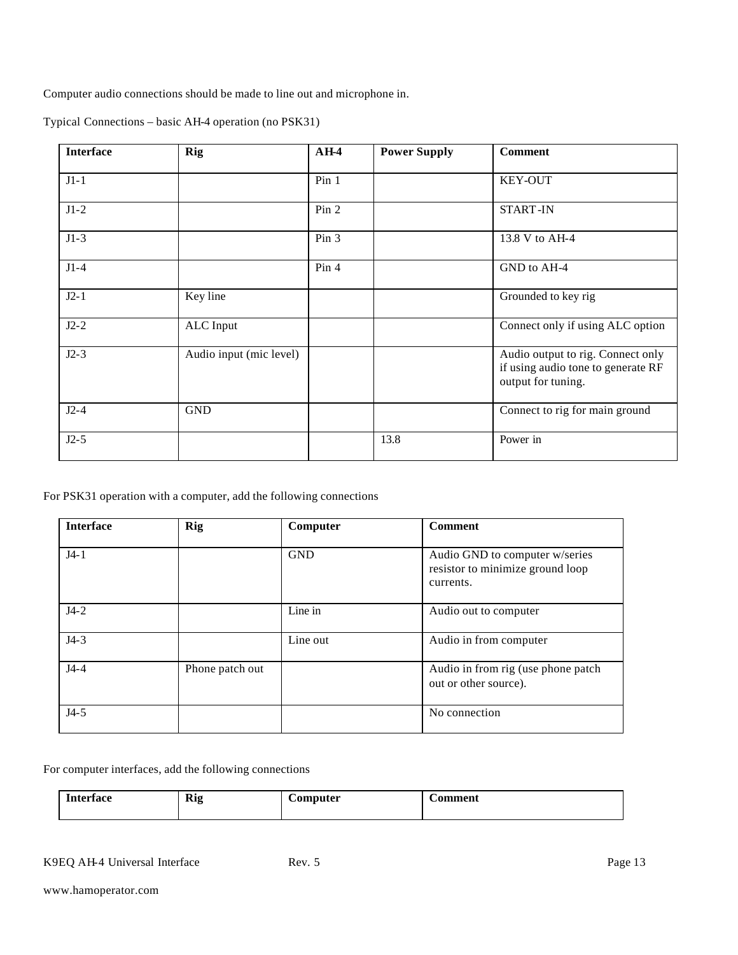Computer audio connections should be made to line out and microphone in.

| <b>Interface</b> | Rig                     | $AH-4$           | <b>Power Supply</b> | <b>Comment</b>                                                                                |
|------------------|-------------------------|------------------|---------------------|-----------------------------------------------------------------------------------------------|
| $J1-1$           |                         | Pin 1            |                     | <b>KEY-OUT</b>                                                                                |
| $J1-2$           |                         | Pin 2            |                     | <b>START-IN</b>                                                                               |
| $J1-3$           |                         | Pin <sub>3</sub> |                     | 13.8 V to AH-4                                                                                |
| $J1-4$           |                         | Pin 4            |                     | GND to AH-4                                                                                   |
| $J2-1$           | Key line                |                  |                     | Grounded to key rig                                                                           |
| $J2-2$           | ALC Input               |                  |                     | Connect only if using ALC option                                                              |
| $J2-3$           | Audio input (mic level) |                  |                     | Audio output to rig. Connect only<br>if using audio tone to generate RF<br>output for tuning. |
| $J2-4$           | <b>GND</b>              |                  |                     | Connect to rig for main ground                                                                |
| $J2-5$           |                         |                  | 13.8                | Power in                                                                                      |

Typical Connections – basic AH-4 operation (no PSK31)

#### For PSK31 operation with a computer, add the following connections

| <b>Interface</b> | <b>Rig</b>      | Computer   | <b>Comment</b>                                                                  |
|------------------|-----------------|------------|---------------------------------------------------------------------------------|
| $J4-1$           |                 | <b>GND</b> | Audio GND to computer w/series<br>resistor to minimize ground loop<br>currents. |
| $J4-2$           |                 | Line in    | Audio out to computer                                                           |
| $J4-3$           |                 | Line out   | Audio in from computer                                                          |
| $J4-4$           | Phone patch out |            | Audio in from rig (use phone patch<br>out or other source).                     |
| $J4-5$           |                 |            | No connection                                                                   |

For computer interfaces, add the following connections

| $\sim$<br>$\mathbf{r}$<br>Kig<br>- 0 | ,,,,,+,,,<br>$\sim$ | 22 O.P |  |
|--------------------------------------|---------------------|--------|--|
|--------------------------------------|---------------------|--------|--|

K9EQ AH-4 Universal Interface Rev. 5 Rev. 5 Page 13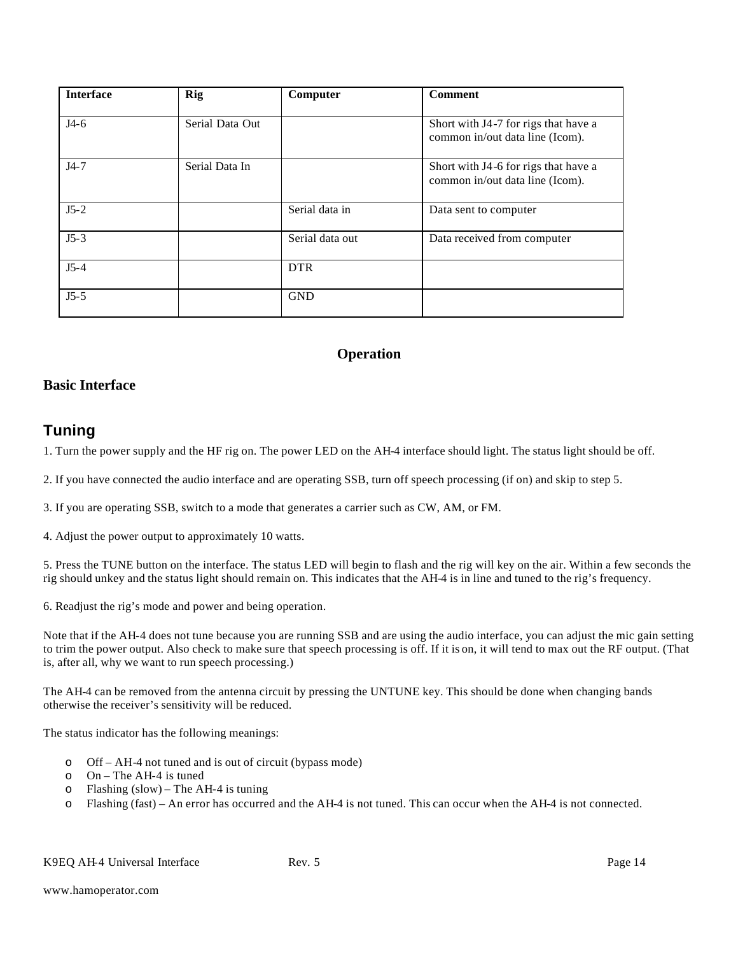| <b>Interface</b> | Rig             | Computer        | <b>Comment</b>                                                          |
|------------------|-----------------|-----------------|-------------------------------------------------------------------------|
| $J4-6$           | Serial Data Out |                 | Short with J4-7 for rigs that have a<br>common in/out data line (Icom). |
| $J4-7$           | Serial Data In  |                 | Short with J4-6 for rigs that have a<br>common in/out data line (Icom). |
| $J5-2$           |                 | Serial data in  | Data sent to computer                                                   |
| $J5-3$           |                 | Serial data out | Data received from computer                                             |
| $J5-4$           |                 | <b>DTR</b>      |                                                                         |
| $J5-5$           |                 | <b>GND</b>      |                                                                         |

#### **Operation**

#### **Basic Interface**

# **Tuning**

1. Turn the power supply and the HF rig on. The power LED on the AH-4 interface should light. The status light should be off.

2. If you have connected the audio interface and are operating SSB, turn off speech processing (if on) and skip to step 5.

3. If you are operating SSB, switch to a mode that generates a carrier such as CW, AM, or FM.

4. Adjust the power output to approximately 10 watts.

5. Press the TUNE button on the interface. The status LED will begin to flash and the rig will key on the air. Within a few seconds the rig should unkey and the status light should remain on. This indicates that the AH-4 is in line and tuned to the rig's frequency.

6. Readjust the rig's mode and power and being operation.

Note that if the AH-4 does not tune because you are running SSB and are using the audio interface, you can adjust the mic gain setting to trim the power output. Also check to make sure that speech processing is off. If it is on, it will tend to max out the RF output. (That is, after all, why we want to run speech processing.)

The AH-4 can be removed from the antenna circuit by pressing the UNTUNE key. This should be done when changing bands otherwise the receiver's sensitivity will be reduced.

The status indicator has the following meanings:

- o Off AH-4 not tuned and is out of circuit (bypass mode)
- o On The AH-4 is tuned
- o Flashing (slow) The AH-4 is tuning
- o Flashing (fast) An error has occurred and the AH-4 is not tuned. This can occur when the AH-4 is not connected.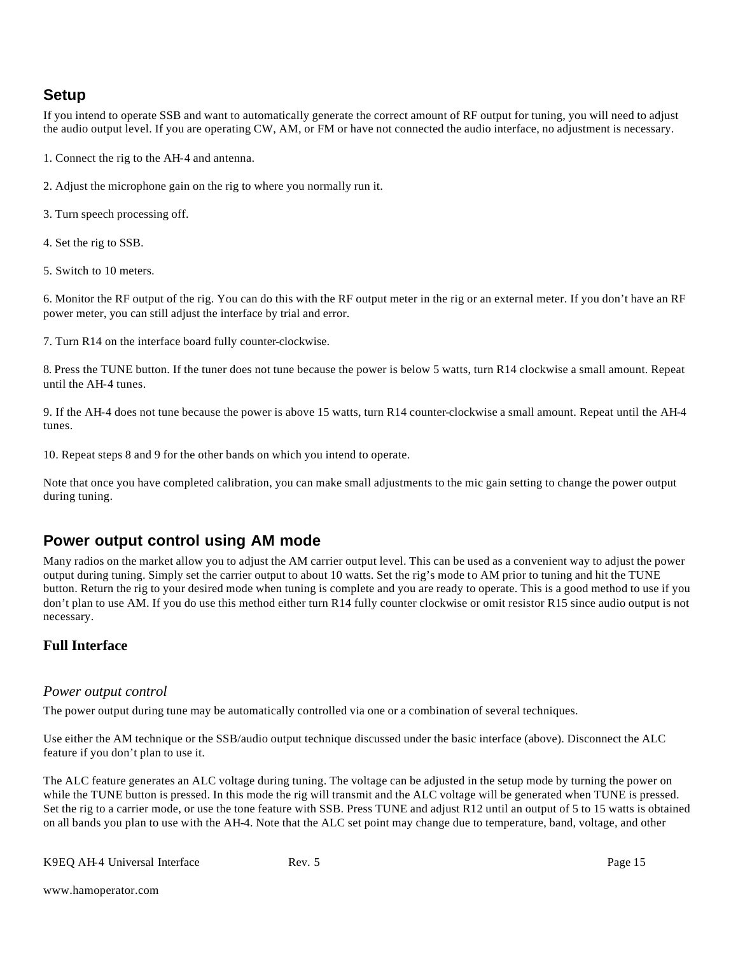# **Setup**

If you intend to operate SSB and want to automatically generate the correct amount of RF output for tuning, you will need to adjust the audio output level. If you are operating CW, AM, or FM or have not connected the audio interface, no adjustment is necessary.

1. Connect the rig to the AH-4 and antenna.

2. Adjust the microphone gain on the rig to where you normally run it.

3. Turn speech processing off.

4. Set the rig to SSB.

5. Switch to 10 meters.

6. Monitor the RF output of the rig. You can do this with the RF output meter in the rig or an external meter. If you don't have an RF power meter, you can still adjust the interface by trial and error.

7. Turn R14 on the interface board fully counter-clockwise.

8. Press the TUNE button. If the tuner does not tune because the power is below 5 watts, turn R14 clockwise a small amount. Repeat until the AH-4 tunes.

9. If the AH-4 does not tune because the power is above 15 watts, turn R14 counter-clockwise a small amount. Repeat until the AH-4 tunes.

10. Repeat steps 8 and 9 for the other bands on which you intend to operate.

Note that once you have completed calibration, you can make small adjustments to the mic gain setting to change the power output during tuning.

# **Power output control using AM mode**

Many radios on the market allow you to adjust the AM carrier output level. This can be used as a convenient way to adjust the power output during tuning. Simply set the carrier output to about 10 watts. Set the rig's mode to AM prior to tuning and hit the TUNE button. Return the rig to your desired mode when tuning is complete and you are ready to operate. This is a good method to use if you don't plan to use AM. If you do use this method either turn R14 fully counter clockwise or omit resistor R15 since audio output is not necessary.

#### **Full Interface**

#### *Power output control*

The power output during tune may be automatically controlled via one or a combination of several techniques.

Use either the AM technique or the SSB/audio output technique discussed under the basic interface (above). Disconnect the ALC feature if you don't plan to use it.

The ALC feature generates an ALC voltage during tuning. The voltage can be adjusted in the setup mode by turning the power on while the TUNE button is pressed. In this mode the rig will transmit and the ALC voltage will be generated when TUNE is pressed. Set the rig to a carrier mode, or use the tone feature with SSB. Press TUNE and adjust R12 until an output of 5 to 15 watts is obtained on all bands you plan to use with the AH-4. Note that the ALC set point may change due to temperature, band, voltage, and other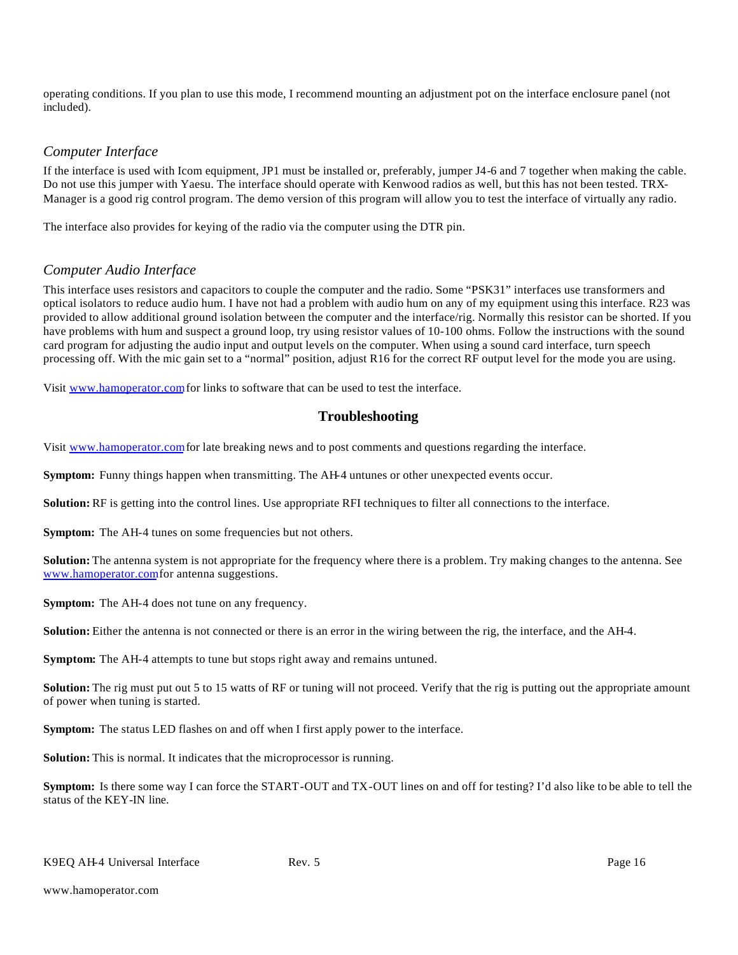operating conditions. If you plan to use this mode, I recommend mounting an adjustment pot on the interface enclosure panel (not included).

#### *Computer Interface*

If the interface is used with Icom equipment, JP1 must be installed or, preferably, jumper J4-6 and 7 together when making the cable. Do not use this jumper with Yaesu. The interface should operate with Kenwood radios as well, but this has not been tested. TRX-Manager is a good rig control program. The demo version of this program will allow you to test the interface of virtually any radio.

The interface also provides for keying of the radio via the computer using the DTR pin.

#### *Computer Audio Interface*

This interface uses resistors and capacitors to couple the computer and the radio. Some "PSK31" interfaces use transformers and optical isolators to reduce audio hum. I have not had a problem with audio hum on any of my equipment using this interface. R23 was provided to allow additional ground isolation between the computer and the interface/rig. Normally this resistor can be shorted. If you have problems with hum and suspect a ground loop, try using resistor values of 10-100 ohms. Follow the instructions with the sound card program for adjusting the audio input and output levels on the computer. When using a sound card interface, turn speech processing off. With the mic gain set to a "normal" position, adjust R16 for the correct RF output level for the mode you are using.

Visit www.hamoperator.com for links to software that can be used to test the interface.

#### **Troubleshooting**

Visit www.hamoperator.com for late breaking news and to post comments and questions regarding the interface.

**Symptom:** Funny things happen when transmitting. The AH-4 untunes or other unexpected events occur.

**Solution:** RF is getting into the control lines. Use appropriate RFI techniques to filter all connections to the interface.

**Symptom:** The AH-4 tunes on some frequencies but not others.

**Solution:** The antenna system is not appropriate for the frequency where there is a problem. Try making changes to the antenna. See www.hamoperator.com for antenna suggestions.

**Symptom:** The AH-4 does not tune on any frequency.

**Solution:** Either the antenna is not connected or there is an error in the wiring between the rig, the interface, and the AH-4.

**Symptom:** The AH-4 attempts to tune but stops right away and remains untuned.

**Solution:** The rig must put out 5 to 15 watts of RF or tuning will not proceed. Verify that the rig is putting out the appropriate amount of power when tuning is started.

**Symptom:** The status LED flashes on and off when I first apply power to the interface.

**Solution:** This is normal. It indicates that the microprocessor is running.

**Symptom:** Is there some way I can force the START-OUT and TX-OUT lines on and off for testing? I'd also like to be able to tell the status of the KEY-IN line.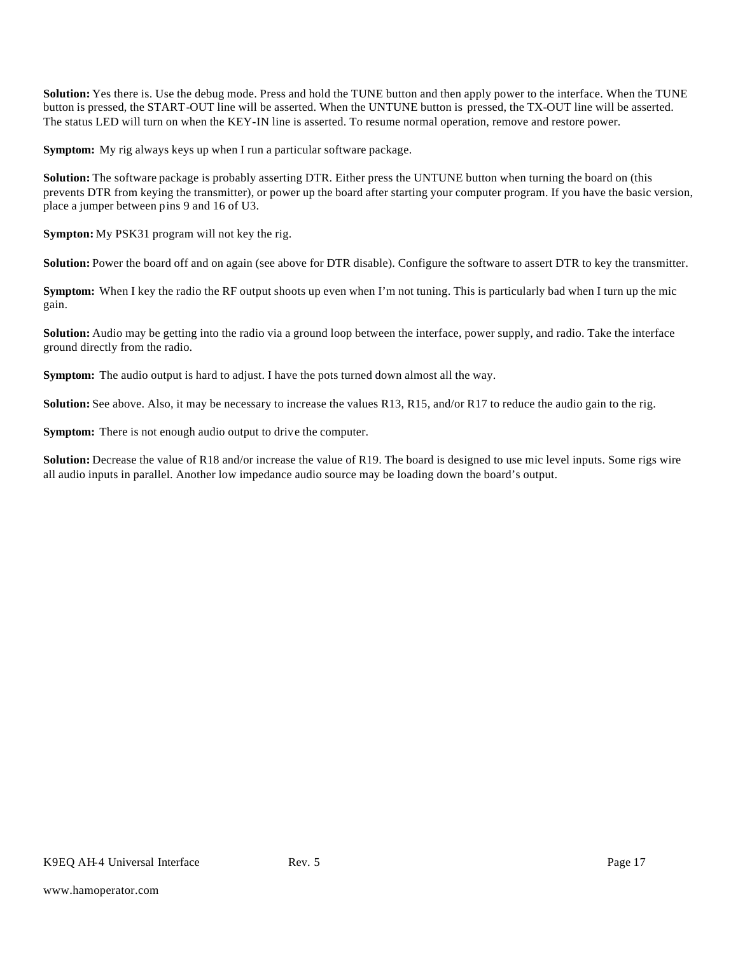**Solution:** Yes there is. Use the debug mode. Press and hold the TUNE button and then apply power to the interface. When the TUNE button is pressed, the START-OUT line will be asserted. When the UNTUNE button is pressed, the TX-OUT line will be asserted. The status LED will turn on when the KEY-IN line is asserted. To resume normal operation, remove and restore power.

**Symptom:** My rig always keys up when I run a particular software package.

**Solution:** The software package is probably asserting DTR. Either press the UNTUNE button when turning the board on (this prevents DTR from keying the transmitter), or power up the board after starting your computer program. If you have the basic version, place a jumper between pins 9 and 16 of U3.

**Sympton:** My PSK31 program will not key the rig.

**Solution:** Power the board off and on again (see above for DTR disable). Configure the software to assert DTR to key the transmitter.

**Symptom:** When I key the radio the RF output shoots up even when I'm not tuning. This is particularly bad when I turn up the mic gain.

**Solution:** Audio may be getting into the radio via a ground loop between the interface, power supply, and radio. Take the interface ground directly from the radio.

**Symptom:** The audio output is hard to adjust. I have the pots turned down almost all the way.

**Solution:** See above. Also, it may be necessary to increase the values R13, R15, and/or R17 to reduce the audio gain to the rig.

**Symptom:** There is not enough audio output to drive the computer.

**Solution:** Decrease the value of R18 and/or increase the value of R19. The board is designed to use mic level inputs. Some rigs wire all audio inputs in parallel. Another low impedance audio source may be loading down the board's output.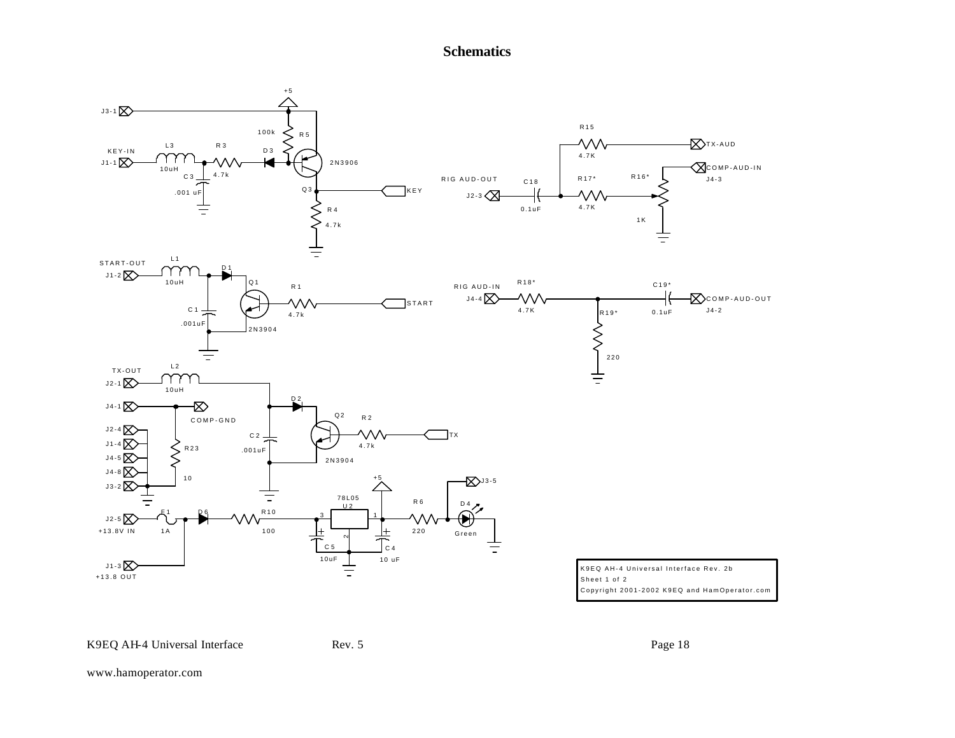## **Schematics**



K9EQ AH-4 Universal Interface Rev. 5 Rev. 5

www.hamoperator.com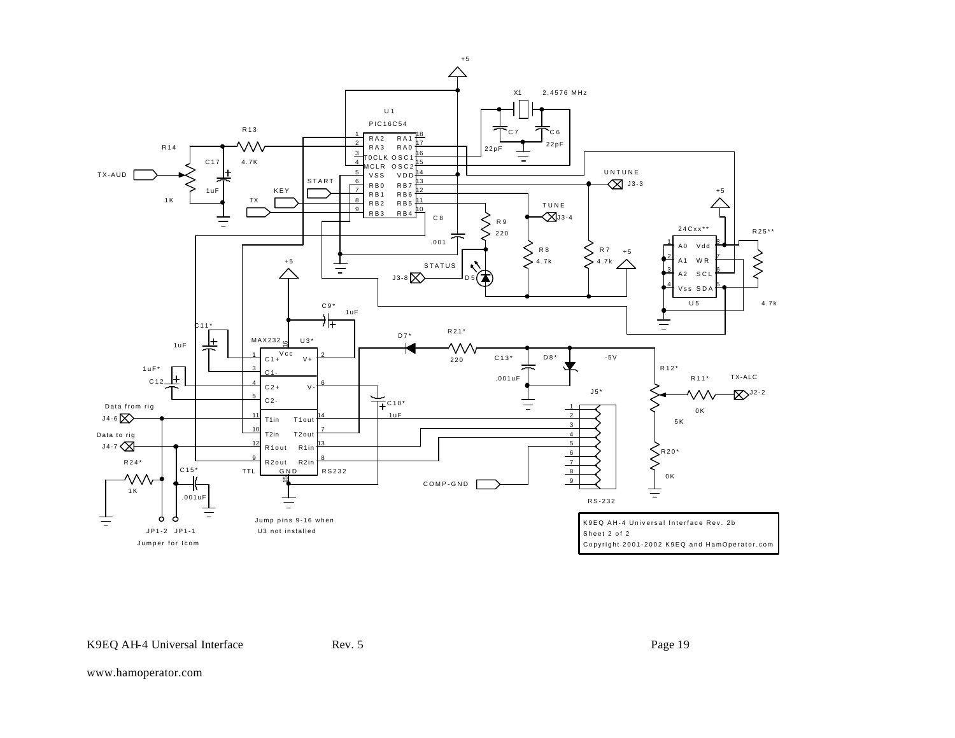

www.hamoperator.com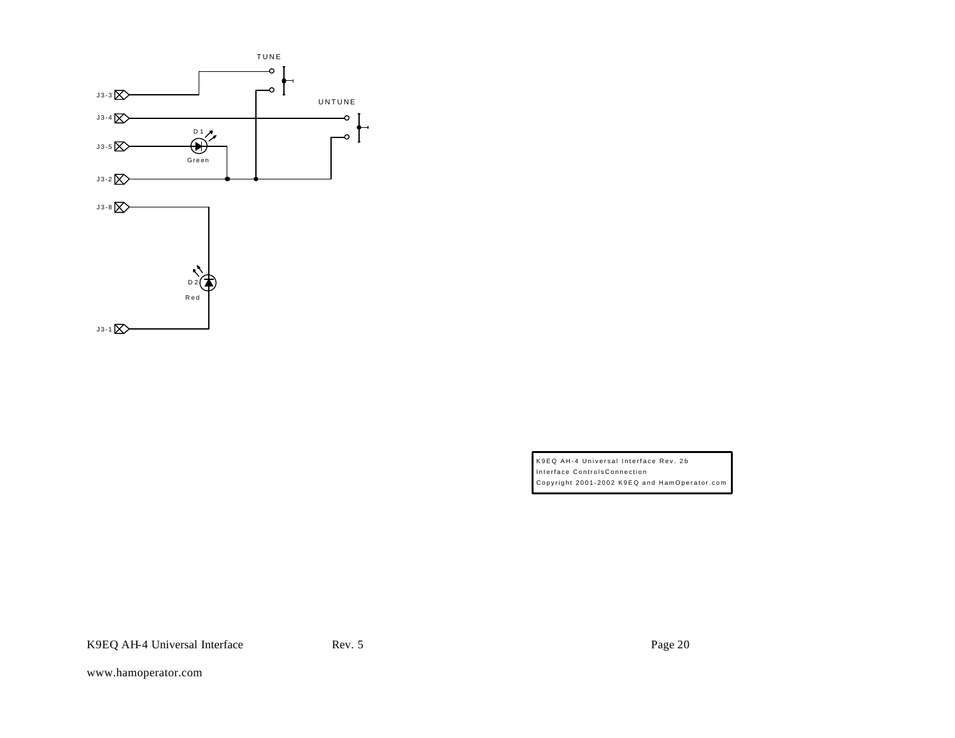

K9EQ AH-4 Universal Interface Rev. 2b Interface ControlsConnection Copyright 2001-2002 K9EQ and HamOperator.com

K9EQ AH-4 Universal Interface Rev. 5 Rev. 5 Page 20

www.hamoperator.com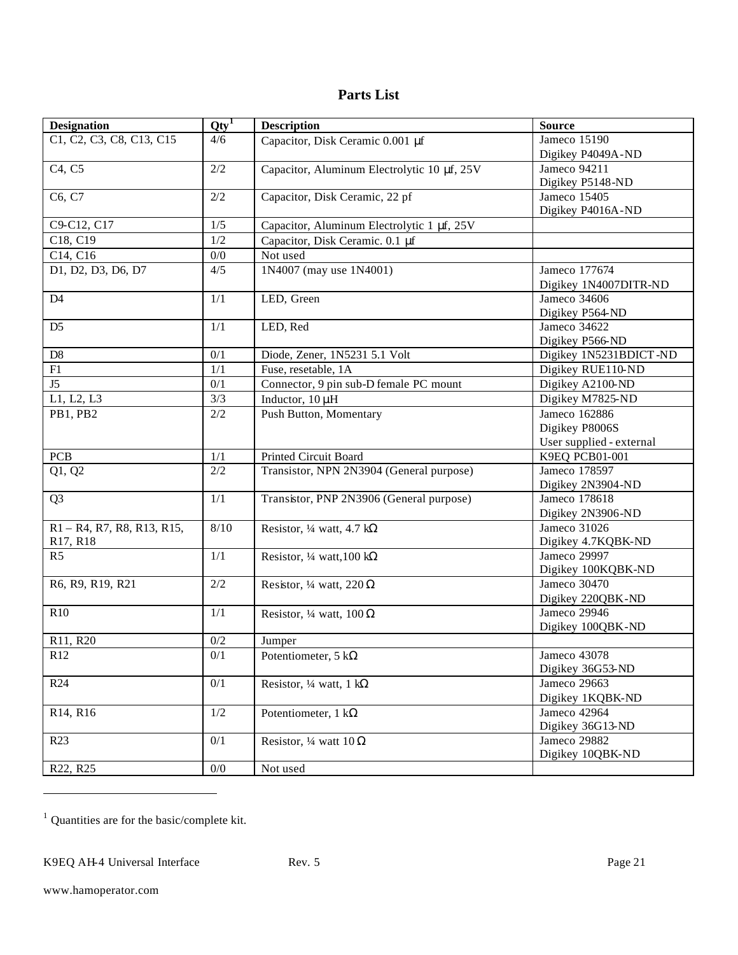### **Parts List**

| <b>Designation</b>                | $Qty^T$ | <b>Description</b>                          | <b>Source</b>            |
|-----------------------------------|---------|---------------------------------------------|--------------------------|
| C1, C2, C3, C8, C13, C15          | 4/6     | Capacitor, Disk Ceramic 0.001 µf            | Jameco 15190             |
|                                   |         |                                             | Digikey P4049A-ND        |
| C <sub>4</sub> , C <sub>5</sub>   | $2/2$   | Capacitor, Aluminum Electrolytic 10 µf, 25V | Jameco 94211             |
|                                   |         |                                             | Digikey P5148-ND         |
| C6, C7                            | 2/2     | Capacitor, Disk Ceramic, 22 pf              | Jameco 15405             |
|                                   |         |                                             | Digikey P4016A-ND        |
| C9-C12, C17                       | 1/5     | Capacitor, Aluminum Electrolytic 1 µf, 25V  |                          |
| C18, C19                          | 1/2     | Capacitor, Disk Ceramic. 0.1 µf             |                          |
| $\overline{C14}, \overline{C16}$  | $0/0$   | Not used                                    |                          |
| D1, D2, D3, D6, D7                | 4/5     | 1N4007 (may use 1N4001)                     | Jameco 177674            |
|                                   |         |                                             | Digikey 1N4007DITR-ND    |
| D <sub>4</sub>                    | 1/1     | LED, Green                                  | Jameco 34606             |
|                                   |         |                                             | Digikey P564-ND          |
| D <sub>5</sub>                    | 1/1     | LED, Red                                    | Jameco 34622             |
|                                   |         |                                             | Digikey P566-ND          |
| D8                                | 0/1     | Diode, Zener, 1N5231 5.1 Volt               | Digikey 1N5231BDICT-ND   |
| F1                                | 1/1     | Fuse, resetable, 1A                         | Digikey RUE110-ND        |
| J <sub>5</sub>                    | 0/1     | Connector, 9 pin sub-D female PC mount      | Digikey A2100-ND         |
| L1, L2, L3                        | 3/3     | Inductor, $10 \mu H$                        | Digikey M7825-ND         |
| PB1, PB2                          | 2/2     | Push Button, Momentary                      | Jameco 162886            |
|                                   |         |                                             | Digikey P8006S           |
|                                   |         |                                             | User supplied - external |
| <b>PCB</b>                        | 1/1     | Printed Circuit Board                       | K9EQ PCB01-001           |
| Q1, Q2                            | 2/2     | Transistor, NPN 2N3904 (General purpose)    | Jameco 178597            |
|                                   |         |                                             | Digikey 2N3904-ND        |
| Q <sub>3</sub>                    | 1/1     | Transistor, PNP 2N3906 (General purpose)    | Jameco 178618            |
|                                   |         |                                             | Digikey 2N3906-ND        |
| $R1 - R4$ , R7, R8, R13, R15,     | 8/10    | Resistor, $\frac{1}{4}$ watt, 4.7 kΩ        | Jameco 31026             |
| R17, R18                          |         |                                             | Digikey 4.7KQBK-ND       |
| R <sub>5</sub>                    | 1/1     | Resistor, $\frac{1}{4}$ watt, 100 kΩ        | Jameco 29997             |
|                                   |         |                                             | Digikey 100KQBK-ND       |
| R6, R9, R19, R21                  | 2/2     | Resistor, 1/4 watt, 220 $\Omega$            | Jameco 30470             |
|                                   |         |                                             | Digikey 220QBK-ND        |
| R10                               | 1/1     | Resistor, 1/4 watt, 100 $\Omega$            | Jameco 29946             |
|                                   |         |                                             | Digikey 100QBK-ND        |
| R11, R20                          | 0/2     | Jumper                                      |                          |
| R12                               | $0/1$   | Potentiometer, 5 k $\Omega$                 | Jameco 43078             |
|                                   |         |                                             | Digikey 36G53-ND         |
| R24                               | 0/1     | Resistor, 1/4 watt, 1 k $\Omega$            | Jameco 29663             |
|                                   |         |                                             | Digikey 1KQBK-ND         |
| R14, R16                          | 1/2     | Potentiometer, 1 k $\Omega$                 | Jameco 42964             |
|                                   |         |                                             | Digikey 36G13-ND         |
| R23                               | 0/1     | Resistor, 1/4 watt $10 \Omega$              | Jameco 29882             |
|                                   |         |                                             | Digikey 10QBK-ND         |
| R <sub>22</sub> , R <sub>25</sub> | 0/0     | Not used                                    |                          |

<sup>1</sup> Quantities are for the basic/complete kit.

l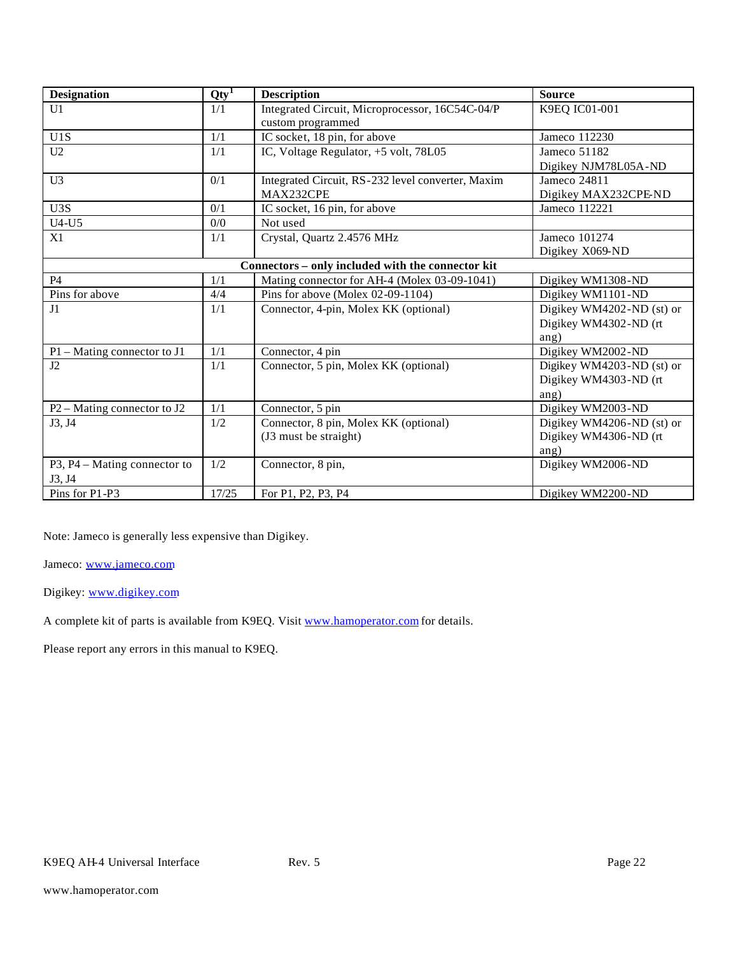| <b>Designation</b>            | $Qty^T$ | <b>Description</b>                                | <b>Source</b>             |
|-------------------------------|---------|---------------------------------------------------|---------------------------|
| U1                            | 1/1     | Integrated Circuit, Microprocessor, 16C54C-04/P   | K9EQ IC01-001             |
|                               |         | custom programmed                                 |                           |
| U1S                           | 1/1     | IC socket, 18 pin, for above                      | Jameco 112230             |
| U2                            | 1/1     | IC, Voltage Regulator, +5 volt, 78L05             | Jameco 51182              |
|                               |         |                                                   | Digikey NJM78L05A-ND      |
| U <sub>3</sub>                | 0/1     | Integrated Circuit, RS-232 level converter, Maxim | Jameco 24811              |
|                               |         | MAX232CPE                                         | Digikey MAX232CPE-ND      |
| U3S                           | 0/1     | IC socket, 16 pin, for above                      | Jameco 112221             |
| $U4-U5$                       | 0/0     | Not used                                          |                           |
| X1                            | 1/1     | Crystal, Quartz 2.4576 MHz                        | Jameco 101274             |
|                               |         |                                                   | Digikey X069-ND           |
|                               |         | Connectors - only included with the connector kit |                           |
| <b>P4</b>                     | 1/1     | Mating connector for AH-4 (Molex 03-09-1041)      | Digikey WM1308-ND         |
| Pins for above                | 4/4     | Pins for above (Molex 02-09-1104)                 | Digikey WM1101-ND         |
| J1                            | 1/1     | Connector, 4-pin, Molex KK (optional)             | Digikey WM4202-ND (st) or |
|                               |         |                                                   | Digikey WM4302-ND (rt     |
|                               |         |                                                   | ang)                      |
| $P1 - Mating$ connector to J1 | 1/1     | Connector, 4 pin                                  | Digikey WM2002-ND         |
| J2                            | 1/1     | Connector, 5 pin, Molex KK (optional)             | Digikey WM4203-ND (st) or |
|                               |         |                                                   | Digikey WM4303-ND (rt     |
|                               |         |                                                   | ang)                      |
| $P2 - Mating$ connector to J2 | 1/1     | Connector, 5 pin                                  | Digikey WM2003-ND         |
| J3, J4                        | 1/2     | Connector, 8 pin, Molex KK (optional)             | Digikey WM4206-ND (st) or |
|                               |         | (J3 must be straight)                             | Digikey WM4306-ND (rt     |
|                               |         |                                                   | ang)                      |
| P3, P4 – Mating connector to  | 1/2     | Connector, 8 pin,                                 | Digikey WM2006-ND         |
| J3, J4                        |         |                                                   |                           |
| Pins for P1-P3                | 17/25   | For P1, P2, P3, P4                                | Digikey WM2200-ND         |

Note: Jameco is generally less expensive than Digikey.

Jameco: www.jameco.com

Digikey: www.digikey.com

A complete kit of parts is available from K9EQ. Visit www.hamoperator.com for details.

Please report any errors in this manual to K9EQ.